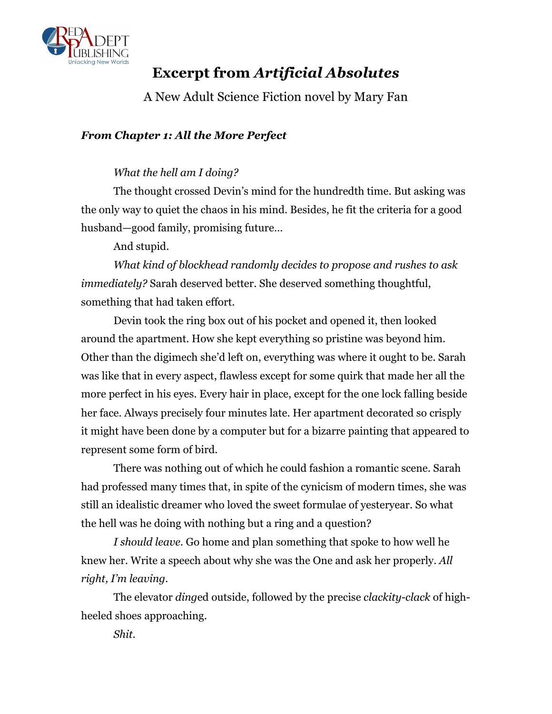

## **Excerpt from** *Artificial Absolutes*

A New Adult Science Fiction novel by Mary Fan

## *From Chapter 1: All the More Perfect*

## *What the hell am I doing?*

The thought crossed Devin's mind for the hundredth time. But asking was the only way to quiet the chaos in his mind. Besides, he fit the criteria for a good husband—good family, promising future…

And stupid.

*What kind of blockhead randomly decides to propose and rushes to ask immediately?* Sarah deserved better. She deserved something thoughtful, something that had taken effort.

Devin took the ring box out of his pocket and opened it, then looked around the apartment. How she kept everything so pristine was beyond him. Other than the digimech she'd left on, everything was where it ought to be. Sarah was like that in every aspect, flawless except for some quirk that made her all the more perfect in his eyes. Every hair in place, except for the one lock falling beside her face. Always precisely four minutes late. Her apartment decorated so crisply it might have been done by a computer but for a bizarre painting that appeared to represent some form of bird.

There was nothing out of which he could fashion a romantic scene. Sarah had professed many times that, in spite of the cynicism of modern times, she was still an idealistic dreamer who loved the sweet formulae of yesteryear. So what the hell was he doing with nothing but a ring and a question?

*I should leave.* Go home and plan something that spoke to how well he knew her. Write a speech about why she was the One and ask her properly. *All right, I'm leaving.*

The elevator *ding*ed outside, followed by the precise *clackity-clack* of highheeled shoes approaching.

*Shit.*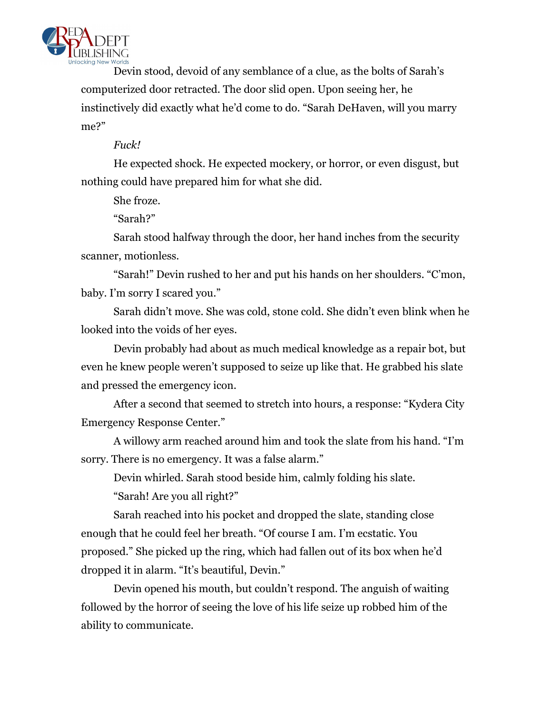

Devin stood, devoid of any semblance of a clue, as the bolts of Sarah's computerized door retracted. The door slid open. Upon seeing her, he instinctively did exactly what he'd come to do. "Sarah DeHaven, will you marry me?"

*Fuck!*

He expected shock. He expected mockery, or horror, or even disgust, but nothing could have prepared him for what she did.

She froze.

"Sarah?"

Sarah stood halfway through the door, her hand inches from the security scanner, motionless.

"Sarah!" Devin rushed to her and put his hands on her shoulders. "C'mon, baby. I'm sorry I scared you."

Sarah didn't move. She was cold, stone cold. She didn't even blink when he looked into the voids of her eyes.

Devin probably had about as much medical knowledge as a repair bot, but even he knew people weren't supposed to seize up like that. He grabbed his slate and pressed the emergency icon.

After a second that seemed to stretch into hours, a response: "Kydera City Emergency Response Center."

A willowy arm reached around him and took the slate from his hand. "I'm sorry. There is no emergency. It was a false alarm."

Devin whirled. Sarah stood beside him, calmly folding his slate.

"Sarah! Are you all right?"

Sarah reached into his pocket and dropped the slate, standing close enough that he could feel her breath. "Of course I am. I'm ecstatic. You proposed." She picked up the ring, which had fallen out of its box when he'd dropped it in alarm. "It's beautiful, Devin."

Devin opened his mouth, but couldn't respond. The anguish of waiting followed by the horror of seeing the love of his life seize up robbed him of the ability to communicate.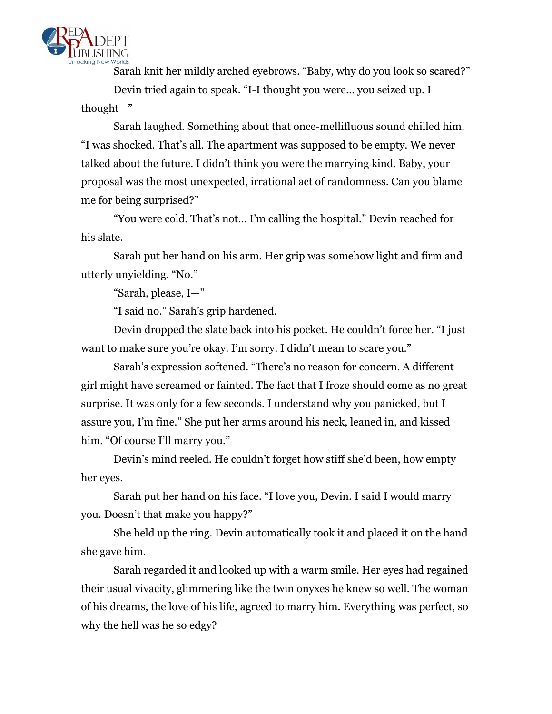

Sarah knit her mildly arched eyebrows. "Baby, why do you look so scared?" Devin tried again to speak. "I-I thought you were… you seized up. I thought—"

Sarah laughed. Something about that once-mellifluous sound chilled him. "I was shocked. That's all. The apartment was supposed to be empty. We never talked about the future. I didn't think you were the marrying kind. Baby, your proposal was the most unexpected, irrational act of randomness. Can you blame me for being surprised?"

"You were cold. That's not… I'm calling the hospital." Devin reached for his slate.

Sarah put her hand on his arm. Her grip was somehow light and firm and utterly unyielding. "No."

"Sarah, please, I—"

"I said no." Sarah's grip hardened.

Devin dropped the slate back into his pocket. He couldn't force her. "I just want to make sure you're okay. I'm sorry. I didn't mean to scare you."

Sarah's expression softened. "There's no reason for concern. A different girl might have screamed or fainted. The fact that I froze should come as no great surprise. It was only for a few seconds. I understand why you panicked, but I assure you, I'm fine." She put her arms around his neck, leaned in, and kissed him. "Of course I'll marry you."

Devin's mind reeled. He couldn't forget how stiff she'd been, how empty her eyes.

Sarah put her hand on his face. "I love you, Devin. I said I would marry you. Doesn't that make you happy?"

She held up the ring. Devin automatically took it and placed it on the hand she gave him.

Sarah regarded it and looked up with a warm smile. Her eyes had regained their usual vivacity, glimmering like the twin onyxes he knew so well. The woman of his dreams, the love of his life, agreed to marry him. Everything was perfect, so why the hell was he so edgy?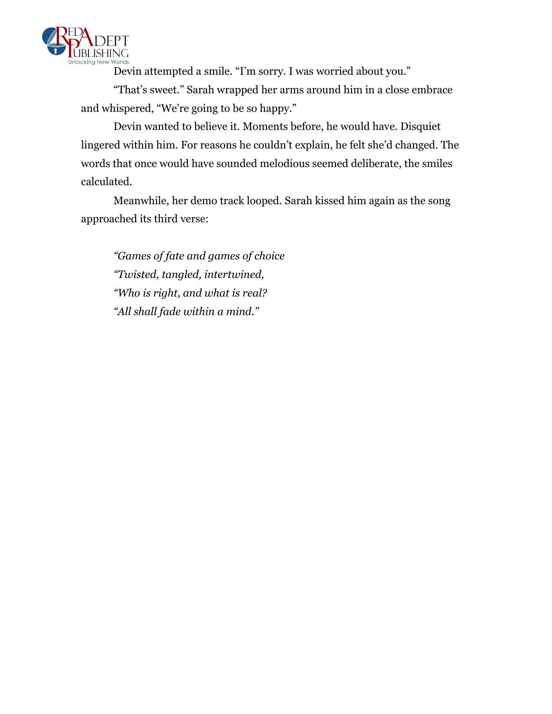

Devin attempted a smile. "I'm sorry. I was worried about you."

"That's sweet." Sarah wrapped her arms around him in a close embrace and whispered, "We're going to be so happy."

Devin wanted to believe it. Moments before, he would have. Disquiet lingered within him. For reasons he couldn't explain, he felt she'd changed. The words that once would have sounded melodious seemed deliberate, the smiles calculated.

Meanwhile, her demo track looped. Sarah kissed him again as the song approached its third verse:

*"Games of fate and games of choice "Twisted, tangled, intertwined, "Who is right, and what is real? "All shall fade within a mind."*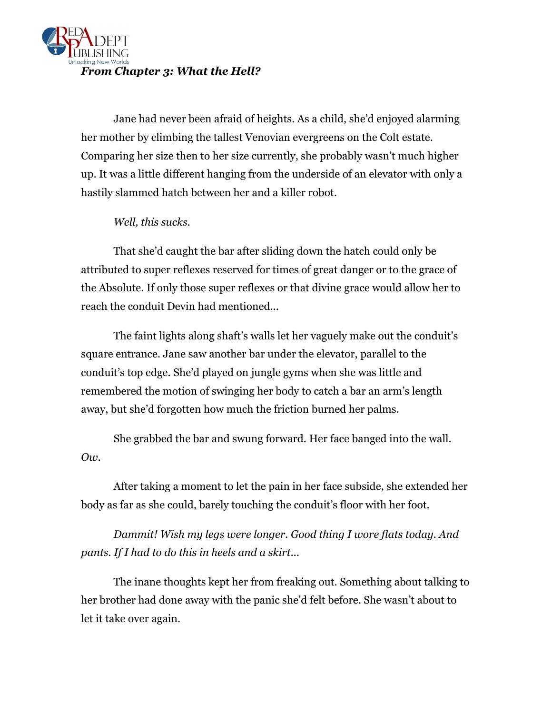

Jane had never been afraid of heights. As a child, she'd enjoyed alarming her mother by climbing the tallest Venovian evergreens on the Colt estate. Comparing her size then to her size currently, she probably wasn't much higher up. It was a little different hanging from the underside of an elevator with only a hastily slammed hatch between her and a killer robot.

## *Well, this sucks.*

That she'd caught the bar after sliding down the hatch could only be attributed to super reflexes reserved for times of great danger or to the grace of the Absolute. If only those super reflexes or that divine grace would allow her to reach the conduit Devin had mentioned...

The faint lights along shaft's walls let her vaguely make out the conduit's square entrance. Jane saw another bar under the elevator, parallel to the conduit's top edge. She'd played on jungle gyms when she was little and remembered the motion of swinging her body to catch a bar an arm's length away, but she'd forgotten how much the friction burned her palms.

She grabbed the bar and swung forward. Her face banged into the wall. *Ow.*

After taking a moment to let the pain in her face subside, she extended her body as far as she could, barely touching the conduit's floor with her foot.

*Dammit! Wish my legs were longer. Good thing I wore flats today. And pants. If I had to do this in heels and a skirt...*

The inane thoughts kept her from freaking out. Something about talking to her brother had done away with the panic she'd felt before. She wasn't about to let it take over again.